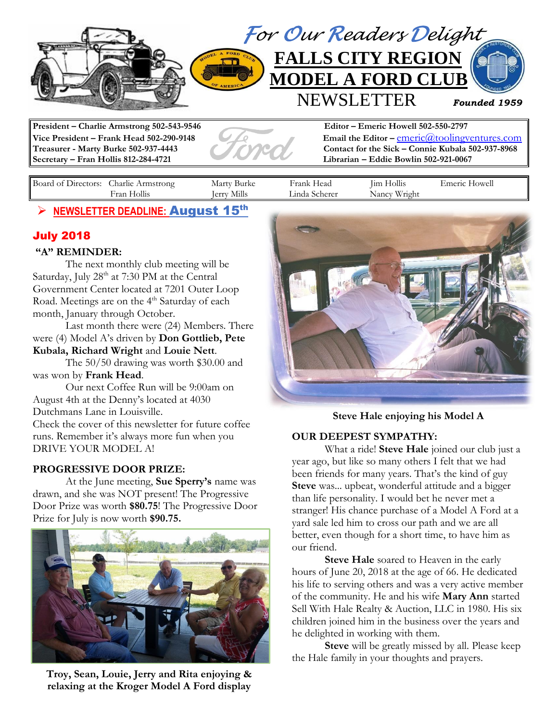

**Secretary – Fran Hollis 812-284-4721 Librarian – Eddie Bowlin 502-921-0067**

**Vice President – Frank Head 502-290-9148 Email the Editor – emeric**@toolingventures.com **Treasurer - Marty Burke 502-937-4443 Contact for the Sick – Connie Kubala 502-937-8968**

| Board<br>Directors:<br>ΩŤ | harlie<br>Armstrong   | 'Surke<br>— Mart⊺  | Head<br>∺rank                               | $\rightarrow$<br>1m<br>HOllis | -lowel<br>meric |
|---------------------------|-----------------------|--------------------|---------------------------------------------|-------------------------------|-----------------|
|                           | 11'<br>Hollis<br>Hran | -<br>erry<br>M111S | _1nda  <br><b>vcherer</b><br><b>ELICICI</b> | <b>TTT</b><br>√rıght<br>Nancy |                 |

## ➢ **NEWSLETTER DEADLINE:** August 15 th

## July 2018

#### **"A" REMINDER:**

The next monthly club meeting will be Saturday, July 28<sup>th</sup> at 7:30 PM at the Central Government Center located at 7201 Outer Loop Road. Meetings are on the 4<sup>th</sup> Saturday of each month, January through October.

Last month there were (24) Members. There were (4) Model A's driven by **Don Gottlieb, Pete Kubala, Richard Wright** and **Louie Nett**.

The 50/50 drawing was worth \$30.00 and was won by **Frank Head**.

Our next Coffee Run will be 9:00am on August 4th at the Denny's located at 4030 Dutchmans Lane in Louisville. Check the cover of this newsletter for future coffee runs. Remember it's always more fun when you

DRIVE YOUR MODEL A!

### **PROGRESSIVE DOOR PRIZE:**

At the June meeting, **Sue Sperry's** name was drawn, and she was NOT present! The Progressive Door Prize was worth **\$80.75**! The Progressive Door Prize for July is now worth **\$90.75.**



**Troy, Sean, Louie, Jerry and Rita enjoying & relaxing at the Kroger Model A Ford display**



**Steve Hale enjoying his Model A**

### **OUR DEEPEST SYMPATHY:**

What a ride! **Steve Hale** joined our club just a year ago, but like so many others I felt that we had been friends for many years. That's the kind of guy **Steve** was... upbeat, wonderful attitude and a bigger than life personality. I would bet he never met a stranger! His chance purchase of a Model A Ford at a yard sale led him to cross our path and we are all better, even though for a short time, to have him as our friend.

**Steve Hale** soared to Heaven in the early hours of June 20, 2018 at the age of 66. He dedicated his life to serving others and was a very active member of the community. He and his wife **Mary Ann** started Sell With Hale Realty & Auction, LLC in 1980. His six children joined him in the business over the years and he delighted in working with them.

**Steve** will be greatly missed by all. Please keep the Hale family in your thoughts and prayers.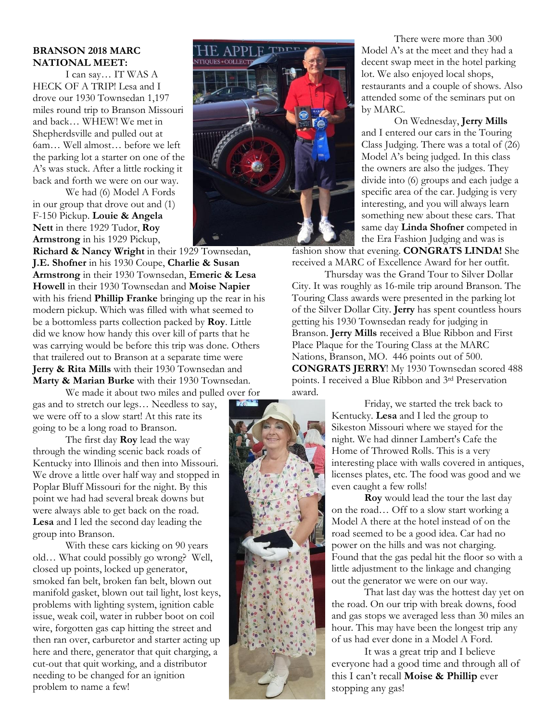#### **BRANSON 2018 MARC NATIONAL MEET:**

I can say… IT WAS A HECK OF A TRIP! Lesa and I drove our 1930 Townsedan 1,197 miles round trip to Branson Missouri and back… WHEW! We met in Shepherdsville and pulled out at 6am… Well almost… before we left the parking lot a starter on one of the A's was stuck. After a little rocking it back and forth we were on our way.

We had (6) Model A Fords in our group that drove out and (1) F-150 Pickup. **Louie & Angela Nett** in there 1929 Tudor, **Roy Armstrong** in his 1929 Pickup,

**Richard & Nancy Wright** in their 1929 Townsedan, **J.E. Shofner** in his 1930 Coupe, **Charlie & Susan Armstrong** in their 1930 Townsedan, **Emeric & Lesa Howell** in their 1930 Townsedan and **Moise Napier** with his friend **Phillip Franke** bringing up the rear in his modern pickup. Which was filled with what seemed to be a bottomless parts collection packed by **Roy**. Little did we know how handy this over kill of parts that he was carrying would be before this trip was done. Others that trailered out to Branson at a separate time were **Jerry & Rita Mills** with their 1930 Townsedan and **Marty & Marian Burke** with their 1930 Townsedan.

We made it about two miles and pulled over for gas and to stretch our legs… Needless to say, we were off to a slow start! At this rate its going to be a long road to Branson.

The first day **Roy** lead the way through the winding scenic back roads of Kentucky into Illinois and then into Missouri. We drove a little over half way and stopped in Poplar Bluff Missouri for the night. By this point we had had several break downs but were always able to get back on the road. **Lesa** and I led the second day leading the group into Branson.

With these cars kicking on 90 years old… What could possibly go wrong? Well, closed up points, locked up generator, smoked fan belt, broken fan belt, blown out manifold gasket, blown out tail light, lost keys, problems with lighting system, ignition cable issue, weak coil, water in rubber boot on coil wire, forgotten gas cap hitting the street and then ran over, carburetor and starter acting up here and there, generator that quit charging, a cut-out that quit working, and a distributor needing to be changed for an ignition problem to name a few!



There were more than 300 Model A's at the meet and they had a decent swap meet in the hotel parking lot. We also enjoyed local shops, restaurants and a couple of shows. Also attended some of the seminars put on by MARC.

On Wednesday, **Jerry Mills** and I entered our cars in the Touring Class Judging. There was a total of (26) Model A's being judged. In this class the owners are also the judges. They divide into (6) groups and each judge a specific area of the car. Judging is very interesting, and you will always learn something new about these cars. That same day **Linda Shofner** competed in the Era Fashion Judging and was is

fashion show that evening. **CONGRATS LINDA!** She received a MARC of Excellence Award for her outfit.

Thursday was the Grand Tour to Silver Dollar City. It was roughly as 16-mile trip around Branson. The Touring Class awards were presented in the parking lot of the Silver Dollar City. **Jerry** has spent countless hours getting his 1930 Townsedan ready for judging in Branson. **Jerry Mills** received a Blue Ribbon and First Place Plaque for the Touring Class at the MARC Nations, Branson, MO. 446 points out of 500. **CONGRATS JERRY**! My 1930 Townsedan scored 488 points. I received a Blue Ribbon and 3rd Preservation award.



**Roy** would lead the tour the last day on the road… Off to a slow start working a Model A there at the hotel instead of on the road seemed to be a good idea. Car had no power on the hills and was not charging. Found that the gas pedal hit the floor so with a little adjustment to the linkage and changing out the generator we were on our way.

That last day was the hottest day yet on the road. On our trip with break downs, food and gas stops we averaged less than 30 miles an hour. This may have been the longest trip any of us had ever done in a Model A Ford.

It was a great trip and I believe everyone had a good time and through all of this I can't recall **Moise & Phillip** ever stopping any gas!

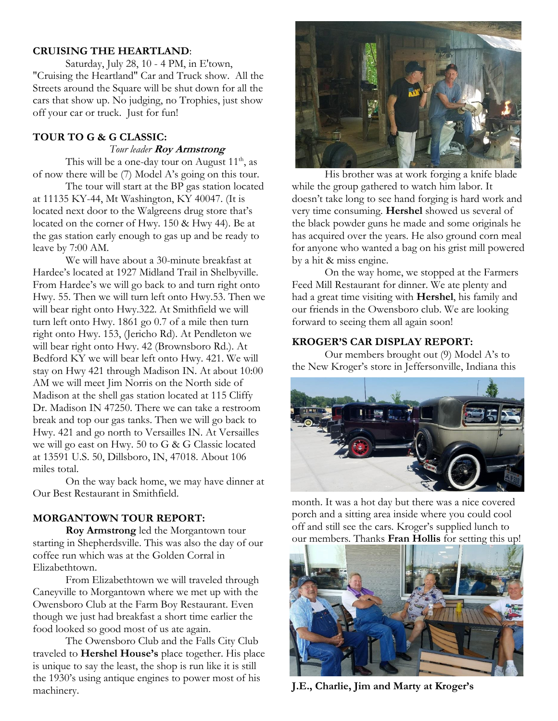#### **CRUISING THE HEARTLAND**:

Saturday, July 28, 10 - 4 PM, in E'town, "Cruising the Heartland" Car and Truck show. All the Streets around the Square will be shut down for all the cars that show up. No judging, no Trophies, just show off your car or truck. Just for fun!

#### **TOUR TO G & G CLASSIC:**

 *Tour leader* **Roy Armstrong**

This will be a one-day tour on August  $11<sup>th</sup>$ , as of now there will be (7) Model A's going on this tour.

The tour will start at the BP gas station located at 11135 KY-44, Mt Washington, KY 40047. (It is located next door to the Walgreens drug store that's located on the corner of Hwy. 150 & Hwy 44). Be at the gas station early enough to gas up and be ready to leave by 7:00 AM.

We will have about a 30-minute breakfast at Hardee's located at 1927 Midland Trail in Shelbyville. From Hardee's we will go back to and turn right onto Hwy. 55. Then we will turn left onto Hwy.53. Then we will bear right onto Hwy.322. At Smithfield we will turn left onto Hwy. 1861 go 0.7 of a mile then turn right onto Hwy. 153, (Jericho Rd). At Pendleton we will bear right onto Hwy. 42 (Brownsboro Rd.). At Bedford KY we will bear left onto Hwy. 421. We will stay on Hwy 421 through Madison IN. At about 10:00 AM we will meet Jim Norris on the North side of Madison at the shell gas station located at 115 Cliffy Dr. Madison IN 47250. There we can take a restroom break and top our gas tanks. Then we will go back to Hwy. 421 and go north to Versailles IN. At Versailles we will go east on Hwy. 50 to G & G Classic located at 13591 U.S. 50, Dillsboro, IN, 47018. About 106 miles total.

On the way back home, we may have dinner at Our Best Restaurant in Smithfield.

## **MORGANTOWN TOUR REPORT:**

**Roy Armstrong** led the Morgantown tour starting in Shepherdsville. This was also the day of our coffee run which was at the Golden Corral in Elizabethtown.

From Elizabethtown we will traveled through Caneyville to Morgantown where we met up with the Owensboro Club at the Farm Boy Restaurant. Even though we just had breakfast a short time earlier the food looked so good most of us ate again.

The Owensboro Club and the Falls City Club traveled to **Hershel House's** place together. His place is unique to say the least, the shop is run like it is still the 1930's using antique engines to power most of his machinery.



His brother was at work forging a knife blade while the group gathered to watch him labor. It doesn't take long to see hand forging is hard work and very time consuming. **Hershel** showed us several of the black powder guns he made and some originals he has acquired over the years. He also ground corn meal for anyone who wanted a bag on his grist mill powered by a hit & miss engine.

On the way home, we stopped at the Farmers Feed Mill Restaurant for dinner. We ate plenty and had a great time visiting with **Hershel**, his family and our friends in the Owensboro club. We are looking forward to seeing them all again soon!

#### **KROGER'S CAR DISPLAY REPORT:**

Our members brought out (9) Model A's to the New Kroger's store in Jeffersonville, Indiana this



month. It was a hot day but there was a nice covered porch and a sitting area inside where you could cool off and still see the cars. Kroger's supplied lunch to our members. Thanks **Fran Hollis** for setting this up!



**J.E., Charlie, Jim and Marty at Kroger's**